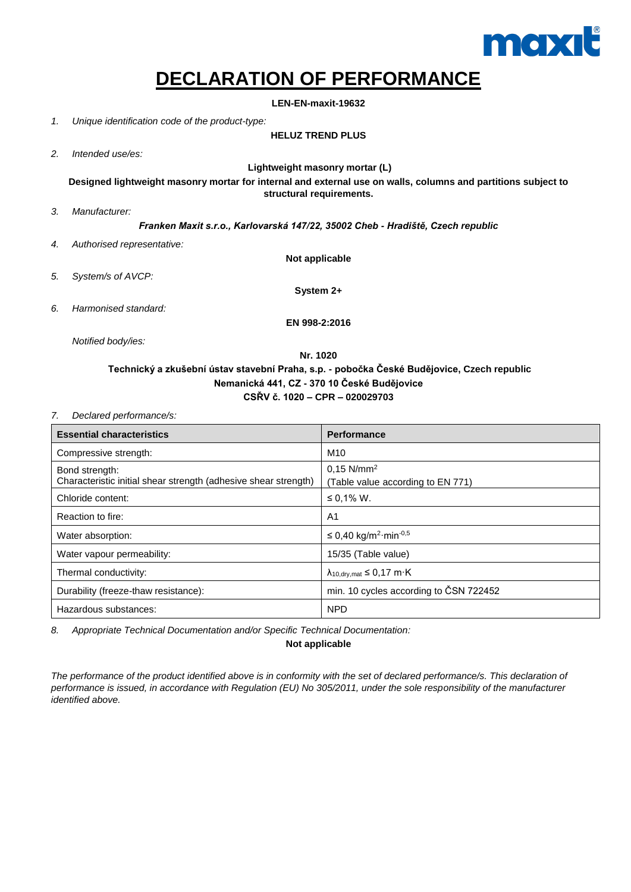

## **DECLARATION OF PERFORMANCE**

**LEN-EN-maxit-19632**

*1. Unique identification code of the product-type:*

## **HELUZ TREND PLUS**

*2. Intended use/es:*

**Lightweight masonry mortar (L)**

**Designed lightweight masonry mortar for internal and external use on walls, columns and partitions subject to structural requirements.**

*3. Manufacturer:*

*Franken Maxit s.r.o., Karlovarská 147/22, 35002 Cheb - Hradiště, Czech republic*

- *4. Authorised representative:*
- *5. System/s of AVCP:*

**Not applicable**

**System 2+**

*6. Harmonised standard:*

**EN 998-2:2016**

*Notified body/ies:*

## **Nr. 1020 Technický a zkušební ústav stavební Praha, s.p. - pobočka České Budějovice, Czech republic Nemanická 441, CZ - 370 10 České Budějovice CSŘV č. 1020 – CPR – 020029703**

*7. Declared performance/s:*

| <b>Essential characteristics</b>                                                  | <b>Performance</b>                                            |
|-----------------------------------------------------------------------------------|---------------------------------------------------------------|
| Compressive strength:                                                             | M <sub>10</sub>                                               |
| Bond strength:<br>Characteristic initial shear strength (adhesive shear strength) | $0.15$ N/mm <sup>2</sup><br>(Table value according to EN 771) |
| Chloride content:                                                                 | ≤ 0,1% W.                                                     |
| Reaction to fire:                                                                 | A <sub>1</sub>                                                |
| Water absorption:                                                                 | ≤ 0,40 kg/m <sup>2</sup> ·min <sup>-0,5</sup>                 |
| Water vapour permeability:                                                        | 15/35 (Table value)                                           |
| Thermal conductivity:                                                             | $\lambda_{10.0}$ arv.mat $\leq 0.17$ m $\cdot$ K              |
| Durability (freeze-thaw resistance):                                              | min. 10 cycles according to CSN 722452                        |
| Hazardous substances:                                                             | <b>NPD</b>                                                    |

*8. Appropriate Technical Documentation and/or Specific Technical Documentation:*

**Not applicable**

*The performance of the product identified above is in conformity with the set of declared performance/s. This declaration of performance is issued, in accordance with Regulation (EU) No 305/2011, under the sole responsibility of the manufacturer identified above.*